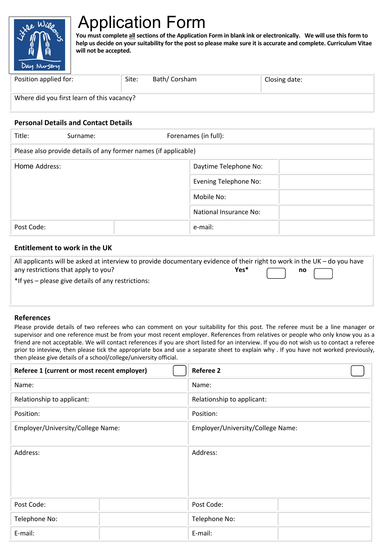

# Application Form

**You must complete all sections of the Application Form in blank ink or electronically. We will use this form to help us decide on your suitability for the post so please make sure it is accurate and complete. Curriculum Vitae will not be accepted.**

| Position applied for:                      | Site: | Bath/ Corsham | Closing date: |  |  |
|--------------------------------------------|-------|---------------|---------------|--|--|
| Where did you first learn of this vacancy? |       |               |               |  |  |

#### **Personal Details and Contact Details**

| Title:                                                          | Surname: |  | Forenames (in full):         |  |  |  |
|-----------------------------------------------------------------|----------|--|------------------------------|--|--|--|
| Please also provide details of any former names (if applicable) |          |  |                              |  |  |  |
| Home Address:                                                   |          |  | Daytime Telephone No:        |  |  |  |
|                                                                 |          |  | <b>Evening Telephone No:</b> |  |  |  |
|                                                                 |          |  | Mobile No:                   |  |  |  |
|                                                                 |          |  | National Insurance No:       |  |  |  |
| Post Code:                                                      |          |  | e-mail:                      |  |  |  |

#### **Entitlement to work in the UK**

| All applicants will be asked at interview to provide documentary evidence of their right to work in the UK – do you have |                                                                                                                                                             |  |
|--------------------------------------------------------------------------------------------------------------------------|-------------------------------------------------------------------------------------------------------------------------------------------------------------|--|
| any restrictions that apply to you?                                                                                      | Yes* $\begin{array}{ c c c c c }\hline \text{ } & \text{no} & \begin{array}{ c c c c }\hline \text{ } & \text{ } & \text{ } \end{array} \hline \end{array}$ |  |
| *If yes – please give details of any restrictions:                                                                       |                                                                                                                                                             |  |
|                                                                                                                          |                                                                                                                                                             |  |
|                                                                                                                          |                                                                                                                                                             |  |

#### **References**

Please provide details of two referees who can comment on your suitability for this post. The referee must be a line manager or supervisor and one reference must be from your most recent employer. References from relatives or people who only know you as a friend are not acceptable. We will contact references if you are short listed for an interview. If you do not wish us to contact a referee prior to inteview, then please tick the appropriate box and use a separate sheet to explain why . If you have not worked previously, then please give details of a school/college/university official.

| Referee 1 (current or most recent employer) |  | <b>Referee 2</b>                  |  |  |  |
|---------------------------------------------|--|-----------------------------------|--|--|--|
| Name:                                       |  | Name:                             |  |  |  |
| Relationship to applicant:                  |  | Relationship to applicant:        |  |  |  |
| Position:                                   |  | Position:                         |  |  |  |
| Employer/University/College Name:           |  | Employer/University/College Name: |  |  |  |
| Address:                                    |  | Address:                          |  |  |  |
| Post Code:                                  |  | Post Code:                        |  |  |  |
| Telephone No:                               |  | Telephone No:                     |  |  |  |
| E-mail:                                     |  | E-mail:                           |  |  |  |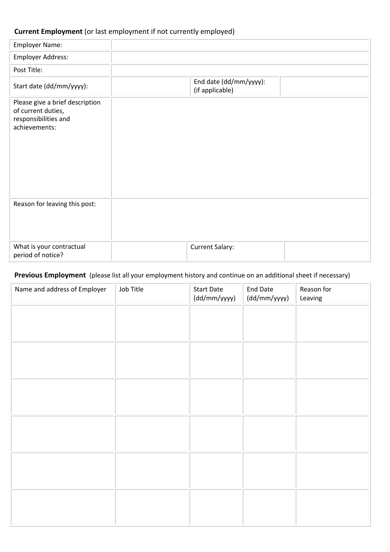# **Current Employment** (or last employment if not currently employed)

| <b>Employer Name:</b>                                                                          |                                           |
|------------------------------------------------------------------------------------------------|-------------------------------------------|
| Employer Address:                                                                              |                                           |
| Post Title:                                                                                    |                                           |
| Start date (dd/mm/yyyy):                                                                       | End date (dd/mm/yyyy):<br>(if applicable) |
| Please give a brief description<br>of current duties,<br>responsibilities and<br>achievements: |                                           |
| Reason for leaving this post:                                                                  |                                           |
| What is your contractual<br>period of notice?                                                  | <b>Current Salary:</b>                    |

# **Previous Employment** (please list all your employment history and continue on an additional sheet if necessary)

| Name and address of Employer | Job Title | <b>Start Date</b><br>(dd/mm/yyyy) | End Date<br>(dd/mm/yyyy) | Reason for<br>Leaving |
|------------------------------|-----------|-----------------------------------|--------------------------|-----------------------|
|                              |           |                                   |                          |                       |
|                              |           |                                   |                          |                       |
|                              |           |                                   |                          |                       |
|                              |           |                                   |                          |                       |
|                              |           |                                   |                          |                       |
|                              |           |                                   |                          |                       |
|                              |           |                                   |                          |                       |
|                              |           |                                   |                          |                       |
|                              |           |                                   |                          |                       |
|                              |           |                                   |                          |                       |
|                              |           |                                   |                          |                       |
|                              |           |                                   |                          |                       |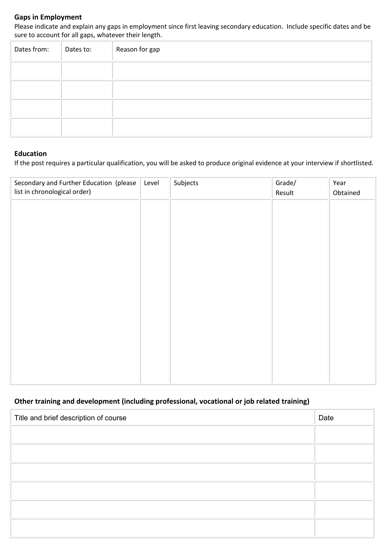## **Gaps in Employment**

Please indicate and explain any gaps in employment since first leaving secondary education. Include specific dates and be sure to account for all gaps, whatever their length.

| Dates from: | Dates to: | Reason for gap |
|-------------|-----------|----------------|
|             |           |                |
|             |           |                |
|             |           |                |
|             |           |                |

### **Education**

If the post requires a particular qualification, you will be asked to produce original evidence at your interview if shortlisted.

| Secondary and Further Education (please<br>list in chronological order) | Level | Subjects | Grade/<br>Result | Year<br>Obtained |
|-------------------------------------------------------------------------|-------|----------|------------------|------------------|
|                                                                         |       |          |                  |                  |
|                                                                         |       |          |                  |                  |
|                                                                         |       |          |                  |                  |
|                                                                         |       |          |                  |                  |
|                                                                         |       |          |                  |                  |
|                                                                         |       |          |                  |                  |
|                                                                         |       |          |                  |                  |
|                                                                         |       |          |                  |                  |
|                                                                         |       |          |                  |                  |

# **Other training and development (including professional, vocational or job related training)**

| Title and brief description of course | Date |
|---------------------------------------|------|
|                                       |      |
|                                       |      |
|                                       |      |
|                                       |      |
|                                       |      |
|                                       |      |
|                                       |      |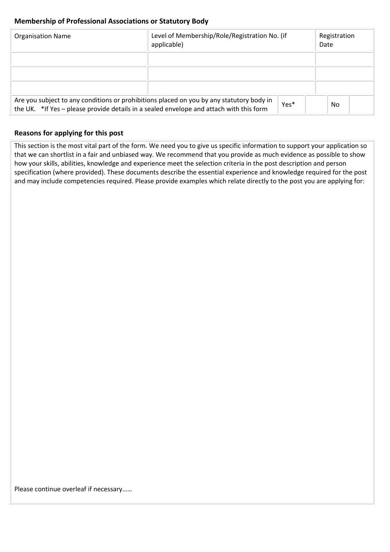## **Membership of Professional Associations or Statutory Body**

| <b>Organisation Name</b>                                                                                                                                                                    | Level of Membership/Role/Registration No. (if<br>applicable) |  |  | Registration<br>Date |  |  |
|---------------------------------------------------------------------------------------------------------------------------------------------------------------------------------------------|--------------------------------------------------------------|--|--|----------------------|--|--|
|                                                                                                                                                                                             |                                                              |  |  |                      |  |  |
|                                                                                                                                                                                             |                                                              |  |  |                      |  |  |
|                                                                                                                                                                                             |                                                              |  |  |                      |  |  |
| Are you subject to any conditions or prohibitions placed on you by any statutory body in<br>Yes*<br>the UK. *If Yes - please provide details in a sealed envelope and attach with this form |                                                              |  |  | No.                  |  |  |

## **Reasons for applying for this post**

This section is the most vital part of the form. We need you to give us specific information to support your application so that we can shortlist in a fair and unbiased way. We recommend that you provide as much evidence as possible to show how your skills, abilities, knowledge and experience meet the selection criteria in the post description and person specification (where provided). These documents describe the essential experience and knowledge required for the post and may include competencies required. Please provide examples which relate directly to the post you are applying for:

Please continue overleaf if necessary……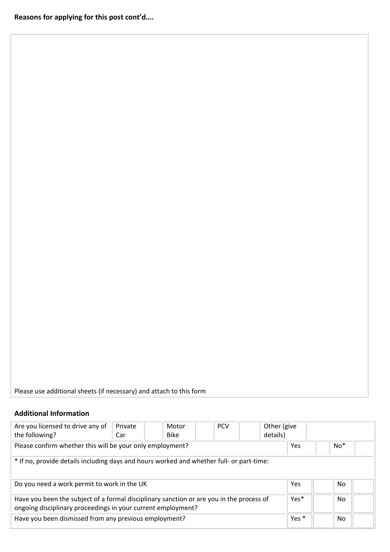Please use additional sheets (if necessary) and attach to this form

# **Additional Information**

| Are you licensed to drive any of<br>the following?                                                                                                       | Private<br>Car | Motor<br><b>Bike</b> | <b>PCV</b> | Other (give<br>details) |       |  |     |  |
|----------------------------------------------------------------------------------------------------------------------------------------------------------|----------------|----------------------|------------|-------------------------|-------|--|-----|--|
| Please confirm whether this will be your only employment?                                                                                                |                | Yes                  |            | $No*$                   |       |  |     |  |
| * If no, provide details including days and hours worked and whether full- or part-time:                                                                 |                |                      |            |                         |       |  |     |  |
| Do you need a work permit to work in the UK                                                                                                              |                |                      |            |                         |       |  | No. |  |
| Have you been the subject of a formal disciplinary sanction or are you in the process of<br>ongoing disciplinary proceedings in your current employment? |                |                      |            |                         |       |  | No  |  |
| Have you been dismissed from any previous employment?                                                                                                    |                |                      |            |                         | Yes * |  | No. |  |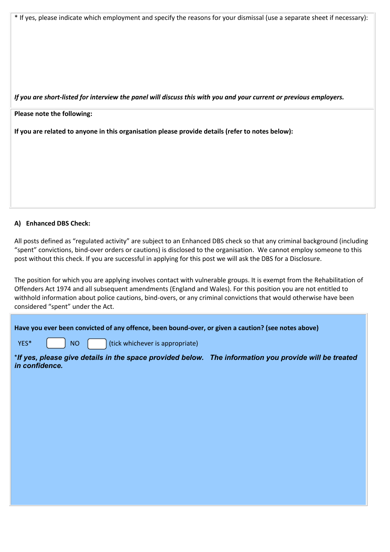\* If yes, please indicate which employment and specify the reasons for your dismissal (use a separate sheet if necessary):

*If you are short-listed for interview the panel will discuss this with you and your current or previous employers.*

**Please note the following:**

**If you are related to anyone in this organisation please provide details (refer to notes below):**

#### **A) Enhanced DBS Check:**

All posts defined as "regulated activity" are subject to an Enhanced DBS check so that any criminal background (including "spent" convictions, bind-over orders or cautions) is disclosed to the organisation. We cannot employ someone to this post without this check. If you are successful in applying for this post we will ask the DBS for a Disclosure.

The position for which you are applying involves contact with vulnerable groups. It is exempt from the Rehabilitation of Offenders Act 1974 and all subsequent amendments (England and Wales). For this position you are not entitled to withhold information about police cautions, bind-overs, or any criminal convictions that would otherwise have been considered "spent" under the Act.

|  | Have you ever been convicted of any offence, been bound-over, or given a caution? (see notes above)                                              |  |
|--|--------------------------------------------------------------------------------------------------------------------------------------------------|--|
|  | <b>YES*</b> $\begin{bmatrix} \vdots \\ \vdots \end{bmatrix}$ NO $\begin{bmatrix} \vdots \\ \vdots \end{bmatrix}$ (tick whichever is appropriate) |  |

\**If yes, please give details in the space provided below. The information you provide will be treated in confidence.*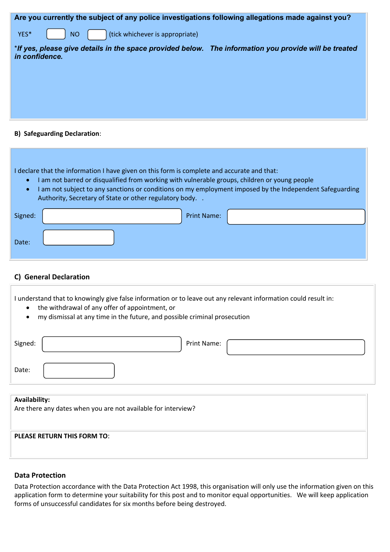| Are you currently the subject of any police investigations following allegations made against you?                      |
|-------------------------------------------------------------------------------------------------------------------------|
| (tick whichever is appropriate)<br>YES*<br><b>NO</b>                                                                    |
| *If yes, please give details in the space provided below. The information you provide will be treated<br>in confidence. |
|                                                                                                                         |
|                                                                                                                         |
|                                                                                                                         |
|                                                                                                                         |
|                                                                                                                         |

#### **B) Safeguarding Declaration**:

I declare that the information I have given on this form is complete and accurate and that:

- I am not barred or disqualified from working with vulnerable groups, children or young people
- I am not subject to any sanctions or conditions on my employment imposed by the Independent Safeguarding Authority, Secretary of State or other regulatory body. .

| Signed: | <b>Print Name:</b> |  |
|---------|--------------------|--|
| Date:   |                    |  |

## **C) General Declaration**

I understand that to knowingly give false information or to leave out any relevant information could result in:

- the withdrawal of any offer of appointment, or
- my dismissal at any time in the future, and possible criminal prosecution

| Signed: | Print Name: |
|---------|-------------|
| Date:   |             |
|         |             |

#### **Availability:**

Are there any dates when you are not available for interview?

### **PLEASE RETURN THIS FORM TO**:

### **Data Protection**

Data Protection accordance with the Data Protection Act 1998, this organisation will only use the information given on this application form to determine your suitability for this post and to monitor equal opportunities. We will keep application forms of unsuccessful candidates for six months before being destroyed.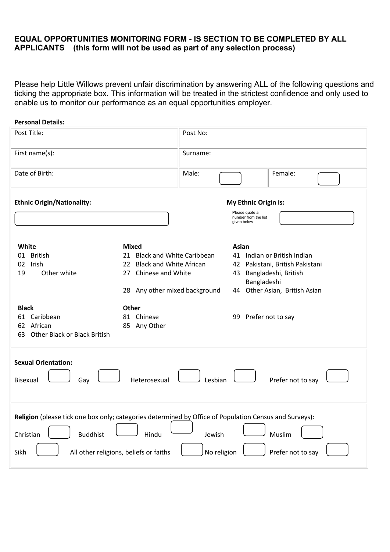# **EQUAL OPPORTUNITIES MONITORING FORM - IS SECTION TO BE COMPLETED BY ALL APPLICANTS (this form will not be used as part of any selection process)**

Please help Little Willows prevent unfair discrimination by answering ALL of the following questions and ticking the appropriate box. This information will be treated in the strictest confidence and only used to enable us to monitor our performance as an equal opportunities employer.

| <b>Personal Details:</b>                                                                                                                                                                 |                                                                                                                                        |                             |                                                       |                                                                                                 |  |
|------------------------------------------------------------------------------------------------------------------------------------------------------------------------------------------|----------------------------------------------------------------------------------------------------------------------------------------|-----------------------------|-------------------------------------------------------|-------------------------------------------------------------------------------------------------|--|
| Post Title:                                                                                                                                                                              |                                                                                                                                        | Post No:                    |                                                       |                                                                                                 |  |
| First name(s):                                                                                                                                                                           |                                                                                                                                        | Surname:                    |                                                       |                                                                                                 |  |
| Date of Birth:                                                                                                                                                                           |                                                                                                                                        | Male:                       |                                                       | Female:                                                                                         |  |
| <b>Ethnic Origin/Nationality:</b>                                                                                                                                                        |                                                                                                                                        | <b>My Ethnic Origin is:</b> |                                                       |                                                                                                 |  |
|                                                                                                                                                                                          |                                                                                                                                        |                             | Please quote a<br>number from the list<br>given below |                                                                                                 |  |
| White<br>01 British<br>Irish<br>02<br>Other white<br>19                                                                                                                                  | <b>Mixed</b><br>21 Black and White Caribbean<br>22 Black and White African<br>Chinese and White<br>27<br>28 Any other mixed background |                             | Asian<br>43 Bangladeshi, British<br>Bangladeshi       | 41 Indian or British Indian<br>42 Pakistani, British Pakistani<br>44 Other Asian, British Asian |  |
| <b>Black</b><br>61 Caribbean<br>African<br>62<br>Other Black or Black British<br>63                                                                                                      | <b>Other</b><br>81 Chinese<br>85 Any Other                                                                                             |                             | 99 Prefer not to say                                  |                                                                                                 |  |
| <b>Sexual Orientation:</b><br><b>Bisexual</b><br>Gay                                                                                                                                     | Heterosexual                                                                                                                           | Lesbian                     |                                                       | Prefer not to say                                                                               |  |
| Religion (please tick one box only; categories determined by Office of Population Census and Surveys):<br><b>Buddhist</b><br>Christian<br>All other religions, beliefs or faiths<br>Sikh | Hindu                                                                                                                                  | Jewish<br>No religion       |                                                       | Muslim<br>Prefer not to say                                                                     |  |